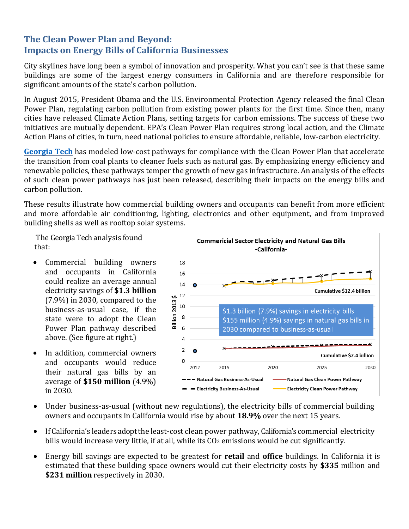## **The Clean Power Plan and Beyond: Impacts on Energy Bills of California Businesses**

City skylines have long been a symbol of innovation and prosperity. What you can't see is that these same buildings are some of the largest energy consumers in California and are therefore responsible for significant amounts of the state's carbon pollution.

In August 2015, President Obama and the U.S. Environmental Protection Agency released the final Clean Power Plan, regulating carbon pollution from existing power plants for the first time. Since then, many cities have released Climate Action Plans, setting targets for carbon emissions. The success of these two initiatives are mutually dependent. EPA's Clean Power Plan requires strong local action, and the Climate Action Plans of cities, in turn, need national policies to ensure affordable, reliable, low-carbon electricity.

**[Georgia](http://www.cepl.gatech.edu/projects/ppce/cpp%26b) Tech** has modeled low-cost pathways for compliance with the Clean Power Plan that accelerate the transition from coal plants to cleaner fuels such as natural gas. By emphasizing energy efficiency and renewable policies, these pathways temper the growth of new gas infrastructure. An analysis of the effects of such clean power pathways has just been released, describing their impacts on the energy bills and carbon pollution.

These results illustrate how commercial building owners and occupants can benefit from more efficient and more affordable air conditioning, lighting, electronics and other equipment, and from improved building shells as well as rooftop solar systems.

The Georgia Tech analysis found that:

- Commercial building owners and occupants in California could realize an average annual electricity savings of **\$1.3 billion** (7.9%) in 2030, compared to the business-as-usual case, if the state were to adopt the Clean Power Plan pathway described above. (See figure at right.)
- In addition, commercial owners and occupants would reduce their natural gas bills by an average of **\$150 million** (4.9%) in 2030.



- Under business-as-usual (without new regulations), the electricity bills of commercial building owners and occupants in California would rise by about **18.9%** over the next 15 years.
- If California's leaders adopt the least-cost clean power pathway, California's commercial electricity bills would increase very little, if at all, while its  $CO<sub>2</sub>$  emissions would be cut significantly.
- Energy bill savings are expected to be greatest for **retail** and **office** buildings. In California it is estimated that these building space owners would cut their electricity costs by **\$335** million and **\$231 million** respectively in 2030.